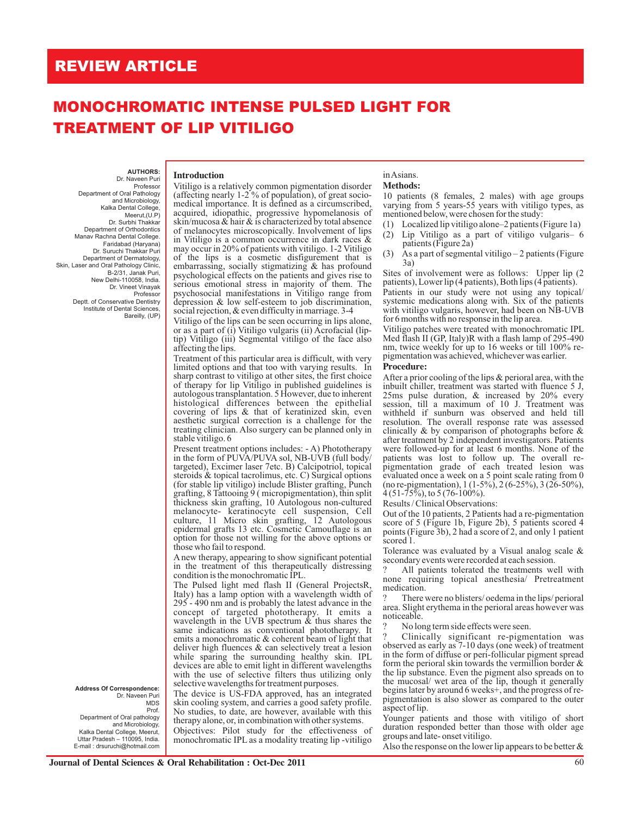## **REVIEW ARTICLE**

# **MONOCHROMATIC INTENSE PULSED LIGHT FOR TREATMENT OF LIP VITILIGO**

**AUTHORS:**  Dr. Naveen Puri

 Professor Department of Oral Pathology and Microbiology, Kalka Dental College, Meerut,(U.P) Dr. Surbhi Thakkar Department of Orthodontics Manav Rachna Dental College. Faridabad (Haryana) Dr. Suruchi Thakkar Puri Department of Dermatology, Skin, Laser and Oral Pathology Clinic B-2/31, Janak Puri, New Delhi-110058, India. Dr. Vineet Vinayak Professor Deptt. of Conservative Dentistry Institute of Dental Sciences Bareilly, (UP)

> **Address Of Correspondence:** Dr. Naveen Puri MDS

 Prof. Department of Oral pathology and Microbiology, Kalka Dental College, Meerut, Uttar Pradesh – 110095, India. E-mail : drsuruchi@hotmail.com

#### **Introduction**

Vitiligo is a relatively common pigmentation disorder (affecting nearly 1-2 % of population), of great sociomedical importance. It is defined as a circumscribed, acquired, idiopathic, progressive hypomelanosis of skin/mucosa & hair & is characterized by total absence of melanocytes microscopically. Involvement of lips in Vitiligo is a common occurrence in dark races & may occur in 20% of patients with vitiligo. 1-2 Vitiligo of the lips is a cosmetic disfigurement that is embarrassing, socially stigmatizing  $\&$  has profound psychological effects on the patients and gives rise to serious emotional stress in majority of them. The psychosocial manifestations in Vitiligo range from depression & low self-esteem to job discrimination, social rejection, & even difficulty in marriage. 3-4

Vitiligo of the lips can be seen occurring in lips alone, or as a part of (i) Vitiligo vulgaris (ii) Acrofacial (liptip) Vitiligo (iii) Segmental vitiligo of the face also affecting the lips.

Treatment of this particular area is difficult, with very limited options and that too with varying results. In sharp contrast to vitiligo at other sites, the first choice of therapy for lip Vitiligo in published guidelines is autologous transplantation. 5 However, due to inherent histological differences between the epithelial covering of lips & that of keratinized skin, even aesthetic surgical correction is a challenge for the treating clinician. Also surgery can be planned only in stable vitiligo. 6

Present treatment options includes: - A) Phototherapy in the form of PUVA/PUVA sol, NB-UVB (full body/ targeted), Excimer laser 7etc. B) Calcipotriol, topical steroids & topical tacrolimus, etc. C) Surgical options (for stable lip vitiligo) include Blister grafting, Punch grafting, 8 Tattooing 9 ( micropigmentation), thin split thickness skin grafting, 10 Autologous non-cultured melanocyte- keratinocyte cell suspension, Cell culture, 11 Micro skin grafting, 12 Autologous epidermal grafts 13 etc. Cosmetic Camouflage is an option for those not willing for the above options or those who fail to respond.

A new therapy, appearing to show significant potential in the treatment of this therapeutically distressing condition is the monochromatic IPL.

The Pulsed light med flash II (General ProjectsR, Italy) has a lamp option with a wavelength width of 295 - 490 nm and is probably the latest advance in the concept of targeted phototherapy. It emits a wavelength in the UVB spectrum  $\&$  thus shares the same indications as conventional phototherapy. It emits a monochromatic & coherent beam of light that deliver high fluences & can selectively treat a lesion while sparing the surrounding healthy skin. IPL devices are able to emit light in different wavelengths with the use of selective filters thus utilizing only selective wavelengths for treatment purposes.

The device is US-FDA approved, has an integrated skin cooling system, and carries a good safety profile. No studies, to date, are however, available with this therapy alone, or, in combination with other systems.

Objectives: Pilot study for the effectiveness of monochromatic IPL as a modality treating lip -vitiligo

#### in Asians. **Methods:**

10 patients (8 females, 2 males) with age groups varying from 5 years-55 years with vitiligo types, as mentioned below, were chosen for the study:

- (1) Localized lip vitiligo alone–2 patients (Figure 1a)
- (2) Lip Vitiligo as a part of vitiligo vulgaris– 6 patients (Figure 2a)
- (3) As a part of segmental vitiligo 2 patients (Figure 3a)

Sites of involvement were as follows: Upper lip (2 patients), Lower lip (4 patients), Both lips (4 patients).

Patients in our study were not using any topical/ systemic medications along with. Six of the patients with vitiligo vulgaris, however, had been on NB-UVB for 6 months with no response in the lip area.

Vitiligo patches were treated with monochromatic IPL Med flash II (GP, Italy)R with a flash lamp of 295-490 nm, twice weekly for up to 16 weeks or till 100% repigmentation was achieved, whichever was earlier.

#### **Procedure:**

After a prior cooling of the lips & perioral area, with the inbuilt chiller, treatment was started with fluence 5 J, 25ms pulse duration, & increased by 20% every session, till a maximum of 10 J. Treatment was withheld if sunburn was observed and held till resolution. The overall response rate was assessed clinically & by comparison of photographs before & after treatment by 2 independent investigators. Patients were followed-up for at least 6 months. None of the patients was lost to follow up. The overall repigmentation grade of each treated lesion was evaluated once a week on a 5 point scale rating from 0 (no re-pigmentation), 1 (1-5%), 2 (6-25%), 3 (26-50%), 4 (51-75%), to 5 (76-100%).

Results / Clinical Observations:

Out of the 10 patients, 2 Patients had a re-pigmentation score of 5 (Figure 1b, Figure 2b), 5 patients scored 4 points (Figure 3b), 2 had a score of 2, and only 1 patient scored 1.

Tolerance was evaluated by a Visual analog scale & secondary events were recorded at each session.

All patients tolerated the treatments well with none requiring topical anesthesia/ Pretreatment medication.

There were no blisters/ oedema in the lips/ perioral area. Slight erythema in the perioral areas however was noticeable.

No long term side effects were seen.

? Clinically significant re-pigmentation was observed as early as 7-10 days (one week) of treatment in the form of diffuse or peri-follicular pigment spread form the perioral skin towards the vermillion border & the lip substance. Even the pigment also spreads on to the mucosal/ wet area of the lip, though it generally begins later by around 6 weeks+, and the progress of repigmentation is also slower as compared to the outer aspect of lip.

Younger patients and those with vitiligo of short duration responded better than those with older age groups and late- onset vitiligo.

Also the response on the lower lip appears to be better &